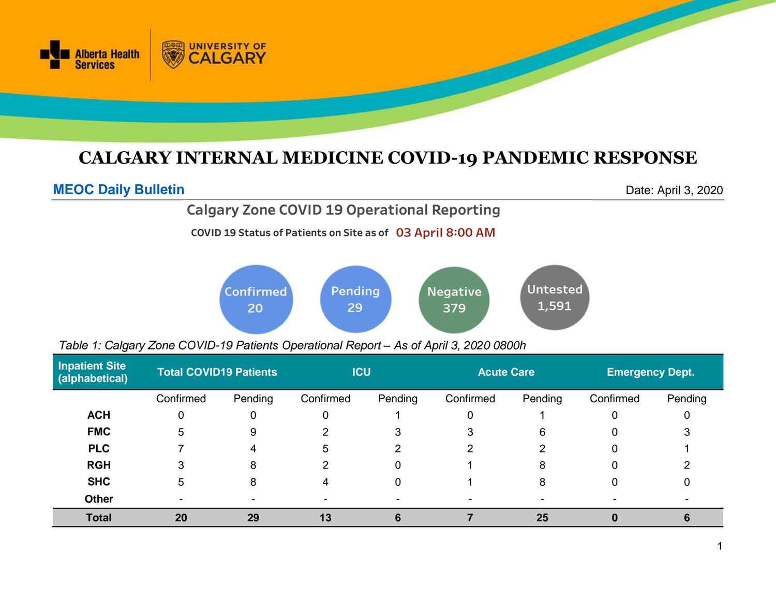

# **CALGARY INTERNAL MEDICINE COVID-19 PANDEMIC RESPONSE**

# **MEOC Daily Bulletin** Date: April 3, 2020

# **Calgary Zone COVID 19 Operational Reporting**

COVID 19 Status of Patients on Site as of 03 April 8:00 AM



*Table 1: Calgary Zone COVID-19 Patients Operational Report – As of April 3, 2020 0800h*

| <b>Inpatient Site</b><br>(alphabetical) | <b>Total COVID19 Patients</b> |                          | <b>ICU</b>               |         | <b>Acute Care</b> |         | <b>Emergency Dept.</b> |         |
|-----------------------------------------|-------------------------------|--------------------------|--------------------------|---------|-------------------|---------|------------------------|---------|
|                                         | Confirmed                     | Pending                  | Confirmed                | Pending | Confirmed         | Pending | Confirmed              | Pending |
| <b>ACH</b>                              |                               | 0                        | 0                        |         | 0                 |         | 0                      |         |
| <b>FMC</b>                              | 5                             | 9                        | 2                        | 3       | 3                 | 6       | 0                      |         |
| <b>PLC</b>                              |                               | 4                        | 5                        | 2       | 2                 | 2       | 0                      |         |
| <b>RGH</b>                              | 3                             | 8                        | 2                        | 0       |                   | 8       | 0                      |         |
| <b>SHC</b>                              | 5                             | 8                        | 4                        | 0       |                   | 8       | 0                      | 0       |
| <b>Other</b>                            | $\overline{\phantom{0}}$      | $\overline{\phantom{a}}$ | $\overline{\phantom{a}}$ | -       |                   |         |                        |         |
| <b>Total</b>                            | 20                            | 29                       | 13                       | 6       |                   | 25      |                        |         |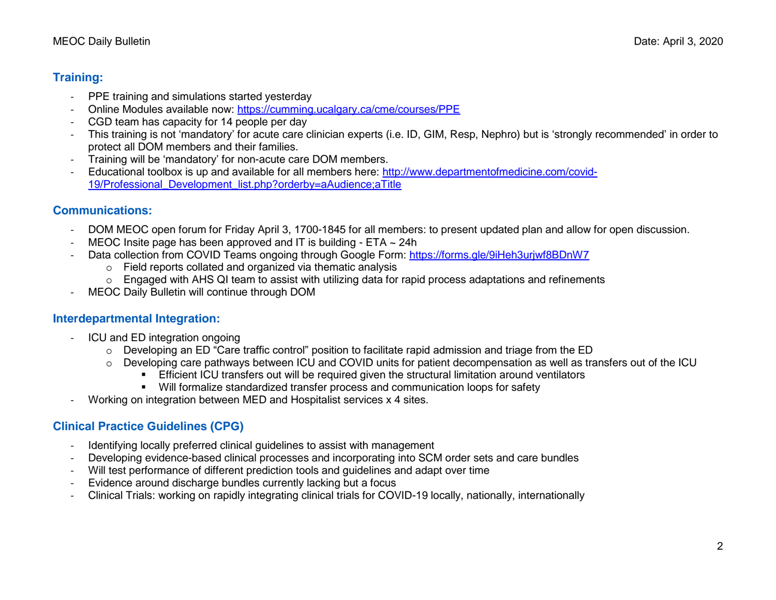## **Training:**

- PPE training and simulations started yesterday
- Online Modules available now:<https://cumming.ucalgary.ca/cme/courses/PPE>
- CGD team has capacity for 14 people per day
- This training is not 'mandatory' for acute care clinician experts (i.e. ID, GIM, Resp, Nephro) but is 'strongly recommended' in order to protect all DOM members and their families.
- Training will be 'mandatory' for non-acute care DOM members.
- Educational toolbox is up and available for all members here: [http://www.departmentofmedicine.com/covid-](http://www.departmentofmedicine.com/covid-19/Professional_Development_list.php?orderby=aAudience;aTitle)[19/Professional\\_Development\\_list.php?orderby=aAudience;aTitle](http://www.departmentofmedicine.com/covid-19/Professional_Development_list.php?orderby=aAudience;aTitle)

## **Communications:**

- DOM MEOC open forum for Friday April 3, 1700-1845 for all members: to present updated plan and allow for open discussion.
- MEOC Insite page has been approved and IT is building  $ETA \sim 24h$
- Data collection from COVID Teams ongoing through Google Form: <https://forms.gle/9iHeh3urjwf8BDnW7>
	- o Field reports collated and organized via thematic analysis
	- $\circ$  Engaged with AHS QI team to assist with utilizing data for rapid process adaptations and refinements
- MEOC Daily Bulletin will continue through DOM

#### **Interdepartmental Integration:**

- ICU and ED integration ongoing
	- $\circ$  Developing an ED "Care traffic control" position to facilitate rapid admission and triage from the ED
	- o Developing care pathways between ICU and COVID units for patient decompensation as well as transfers out of the ICU
		- Efficient ICU transfers out will be required given the structural limitation around ventilators
		- Will formalize standardized transfer process and communication loops for safety
- Working on integration between MED and Hospitalist services x 4 sites.

# **Clinical Practice Guidelines (CPG)**

- Identifying locally preferred clinical guidelines to assist with management
- Developing evidence-based clinical processes and incorporating into SCM order sets and care bundles
- Will test performance of different prediction tools and guidelines and adapt over time
- Evidence around discharge bundles currently lacking but a focus
- Clinical Trials: working on rapidly integrating clinical trials for COVID-19 locally, nationally, internationally